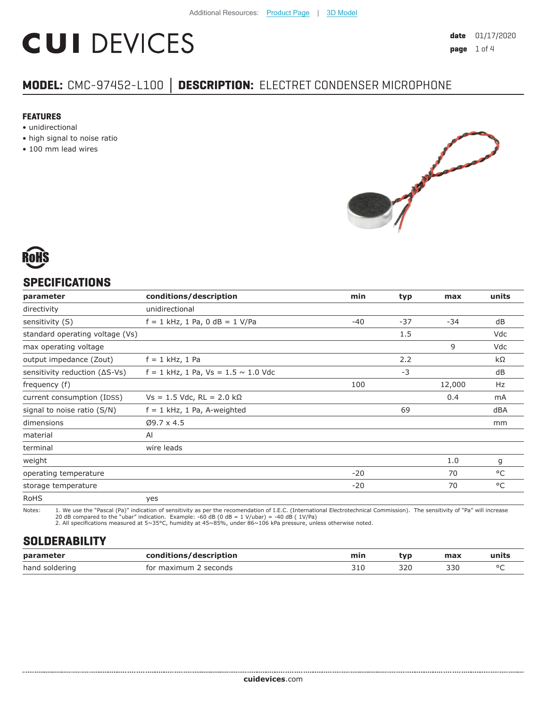# **CUI DEVICES**

## **MODEL:** CMC-97452-L100 **│ DESCRIPTION:** ELECTRET CONDENSER MICROPHONE

#### **FEATURES**

- unidirectional
- high signal to noise ratio
- 100 mm lead wires





#### **SPECIFICATIONS**

| parameter                               | conditions/description                     | min   | typ   | max    | units |
|-----------------------------------------|--------------------------------------------|-------|-------|--------|-------|
| directivity                             | unidirectional                             |       |       |        |       |
| sensitivity (S)                         | $f = 1$ kHz, 1 Pa, 0 dB = 1 V/Pa           | $-40$ | $-37$ | $-34$  | dB    |
| standard operating voltage (Vs)         |                                            |       | 1.5   |        | Vdc   |
| max operating voltage                   |                                            |       |       | 9      | Vdc   |
| output impedance (Zout)                 | $f = 1$ kHz, 1 Pa                          |       | 2.2   |        | kΩ    |
| sensitivity reduction $( \Delta S$ -Vs) | $f = 1$ kHz, 1 Pa, Vs = 1.5 $\sim$ 1.0 Vdc |       | $-3$  |        | dB    |
| frequency (f)                           |                                            | 100   |       | 12,000 | Hz    |
| current consumption (IDSS)              | $Vs = 1.5$ Vdc, RL = 2.0 kΩ                |       |       | 0.4    | mA    |
| signal to noise ratio (S/N)             | $f = 1$ kHz, 1 Pa, A-weighted              |       | 69    |        | dBA   |
| dimensions                              | $Ø9.7 \times 4.5$                          |       |       |        | mm    |
| material                                | AI                                         |       |       |        |       |
| terminal                                | wire leads                                 |       |       |        |       |
| weight                                  |                                            |       |       | 1.0    | g     |
| operating temperature                   |                                            | $-20$ |       | 70     | °C    |
| storage temperature                     |                                            | $-20$ |       | 70     | °C    |
| <b>RoHS</b>                             | yes                                        |       |       |        |       |

Notes: 1. We use the "Pascal (Pa)" indication of sensitivity as per the recomendation of I.E.C. (International Electrotechnical Commission). The sensitivity of "Pa" will increase 20 dB compared to the "ubar" indication. Example: -60 dB (0 dB = 1 V/ubar) = -40 dB ( 1V/Pa) 2. All specifications measured at 5~35°C, humidity at 45~85%, under 86~106 kPa pressure, unless otherwise noted.

#### **SOLDERABILITY**

| parameter      | /description<br>rondit | min                     | tvr | max | units  |
|----------------|------------------------|-------------------------|-----|-----|--------|
| hand soldering | seconds<br>for maximum | $\sim$ -1 $\sim$<br>コエィ | 320 | 330 | $\sim$ |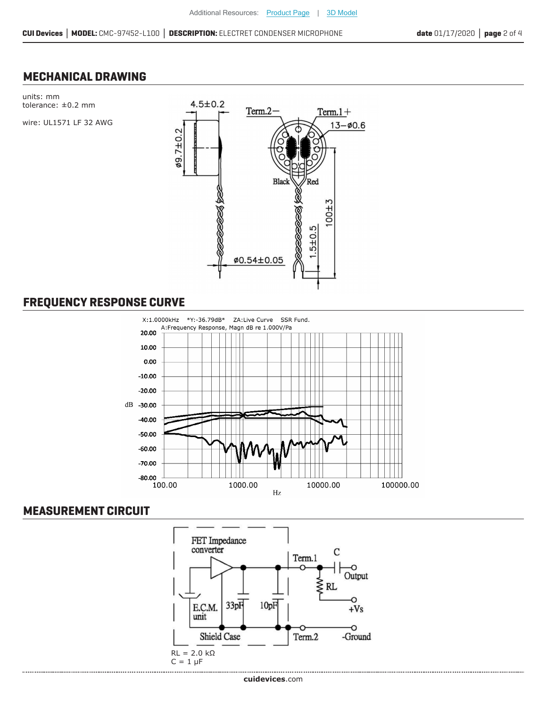#### **MECHANICAL DRAWING**



### **FREQUENCY RESPONSE CURVE**



#### **MEASUREMENT CIRCUIT**

.......................

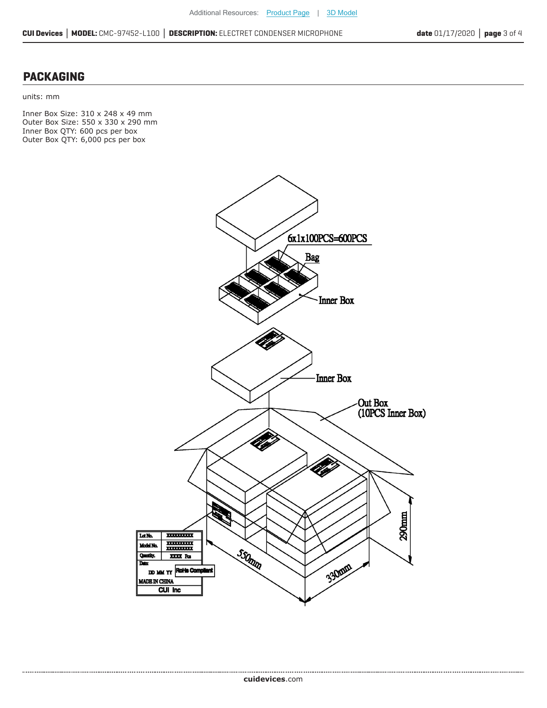#### **PACKAGING**

units: mm

Inner Box Size: 310 x 248 x 49 mm Outer Box Size: 550 x 330 x 290 mm Inner Box QTY: 600 pcs per box Outer Box QTY: 6,000 pcs per box